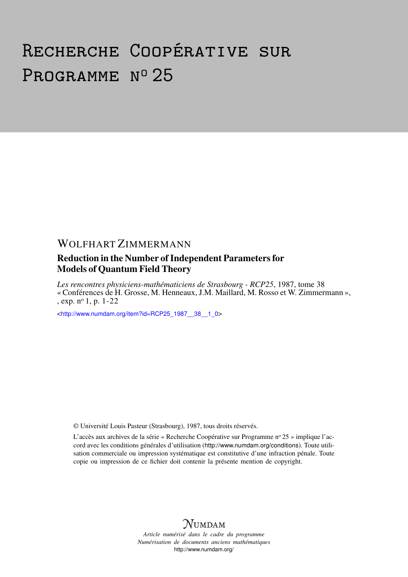# Recherche Coopérative sur PROGRAMME Nº 25

# WOLFHART ZIMMERMANN

# Reduction in the Number of Independent Parameters for Models of Quantum Field Theory

*Les rencontres physiciens-mathématiciens de Strasbourg - RCP25*, 1987, tome 38 « Conférences de H. Grosse, M. Henneaux, J.M. Maillard, M. Rosso et W. Zimmermann », , exp. n<sup>o</sup> 1, p. 1-22

<[http://www.numdam.org/item?id=RCP25\\_1987\\_\\_38\\_\\_1\\_0](http://www.numdam.org/item?id=RCP25_1987__38__1_0)>

© Université Louis Pasteur (Strasbourg), 1987, tous droits réservés.

L'accès aux archives de la série « Recherche Coopérative sur Programme nº 25 » implique l'accord avec les conditions générales d'utilisation (<http://www.numdam.org/conditions>). Toute utilisation commerciale ou impression systématique est constitutive d'une infraction pénale. Toute copie ou impression de ce fichier doit contenir la présente mention de copyright.



*Article numérisé dans le cadre du programme Numérisation de documents anciens mathématiques* <http://www.numdam.org/>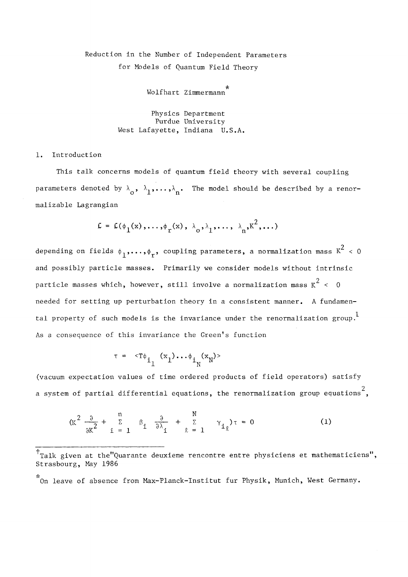# Réduction in the Number of Independent Parameters for Models of Quantum Field Theory

Wolfhart Zimmermann

Physics Department Purdue University West Lafayette, Indiana U.S.A.

# 1. Introduction

This talk concerns models of quantum field theory with several coupling parameters denoted by  $\lambda_{\alpha}$ ,  $\lambda_{1}$ ,..., $\lambda_{\alpha}$ . The model should be described by a renor malizable Lagrangian

$$
E = E(\phi_1(x), \ldots, \phi_r(x), \lambda_0, \lambda_1, \ldots, \lambda_n, k^2, \ldots)
$$

 $^{2}$ . depending on fields  $\mu$ , coupling parameters, a normalization mass  $\mu$ and possibly particle masses. Primarily we consider models without intrinsic particle masses which, however, still involve a normalization mass  $K^2 < 0$ needed for setting up perturbation theory in a consistent manner. A fundamental property of such models is the invariance under the renormalization group.<sup>1</sup> As a consequence of this invariance the Green's function

$$
r = \langle T\phi_{i_1}(x_1)\cdots\phi_{i_N}(x_N)\rangle
$$

(vacuum expectation values of time ordered products of field operators) satisfy 2 a system of partial differential équations, the renormalization group équations ,

$$
(\kappa^2 \frac{\partial}{\partial \kappa^2} + \sum_{i=1}^n \beta_i \frac{\partial}{\partial \lambda_i} + \sum_{\ell=1}^N \gamma_{i\ell})\tau = 0
$$
 (1)

 $^{\dagger}$ Talk given at the"Quarante deuxieme rencontre entre physiciens et mathematiciens", Strasbourg, May 1986

**<sup>•</sup>λ·**  On leave of absence from Max-Planck-Institut fur Physik, Munich, West Germany.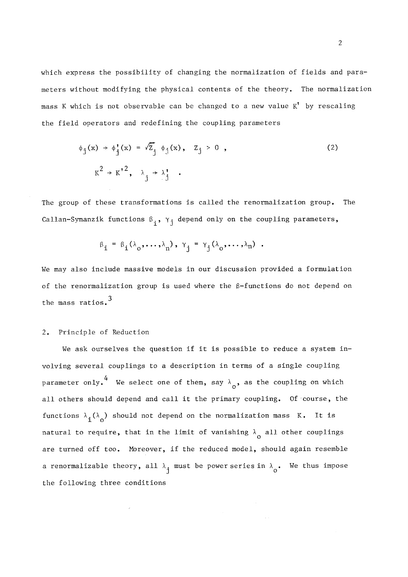which express the possibility of changing the normalization of fields and parameters without modifying the physical contents of the theory. The normalization mass K which is not observable can be changed to a new value  $K^!$  by rescaling the field operators and redefining the coupling parameters

$$
\phi_j(x) \rightarrow \phi_j'(x) = \sqrt{z}_j \phi_j(x), \quad z_j > 0,
$$
\n
$$
K^2 \rightarrow K^2, \quad \lambda_j \rightarrow \lambda_j'.
$$
\n(2)

The group of these transformations is called the renormalization group. The Callan-Symanzik functions  $\beta_i$ ,  $\gamma_i$  depend only on the coupling parameters,

$$
\beta_{i} = \beta_{i}(\lambda_{0},...,\lambda_{n}), \gamma_{j} = \gamma_{j}(\lambda_{0},...,\lambda_{n}).
$$

We may also include massive models in our discussion provided a formulation of the renormalization group is used where the  $\beta$ -functions do not depend on the mass ratios.<sup>3</sup>

#### 2. Principle of Réduction

We ask ourselves the question if it is possible to reduce a system involving several couplings to a description in terms of a single coupling 4 parameter only. We select one of them, say  $\lambda_0$ , as the coupling on which ail others should dépend and call it the primary coupling. Of course, the functions  $\lambda_{\hat{\mathbf{1}}}(\lambda_{\hat{\mathbf{0}}})$  should not depend on the normalization mass K. It is natural to require, that in the limit of vanishing  $\lambda_{\alpha}$  all other couplings are turned off too. Moreover, if the reduced model, should again resemble a renormalizable theory, all  $\lambda_i$  must be power series in  $\lambda_i$ . We thus impose the following three conditions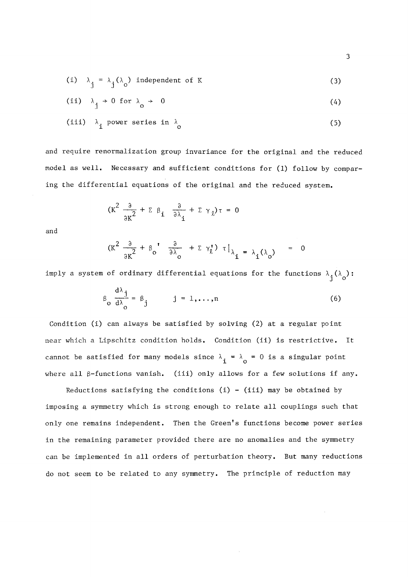(i) 
$$
\lambda_i = \lambda_i (\lambda_0)
$$
 independent of K (3)

(ii) 
$$
\lambda_1 \rightarrow 0
$$
 for  $\lambda_2 \rightarrow 0$  (4)

$$
(iii) \quad \lambda_{\mathbf{a}} \text{ power series in } \lambda_{\mathbf{a}} \tag{5}
$$

and require renormalization group invariance for the original and the reduced model as well. Necessary and sufficient conditions for (1) follow by comparing the differential equations of the original and the reduced system.

$$
(K^2 \frac{\partial}{\partial K^2} + \Sigma \beta_i \frac{\partial}{\partial \lambda_i} + \Sigma \gamma_\ell) \tau = 0
$$

3 *3 °* 

ο

j

and

$$
(\kappa^2 \frac{\partial}{\partial \kappa^2} + \beta_o' \frac{\partial}{\partial \lambda_o} + \Sigma \gamma_{\ell}^{\prime}) \tau |_{\lambda_i = \lambda_i(\lambda_o)} = 0
$$

imply a system of ordinary differential equations for the functions  $\lambda_j(\lambda_o)$ :

$$
\beta_0 \frac{d\lambda_j}{d\lambda_0} = \beta_j \qquad j = 1, ..., n \qquad (6)
$$

Condition (i) can always be satisfied by solving (2) at a regular point near which a Lipschitz condition holds. Condition (ii) is restrictive. It cannot be satisfied for many models since  $\lambda_i = \lambda_0 = 0$  is a singular point  $\sum_{i=1}^n$  and  $\sum_{i=1}^n$  and  $\sum_{i=1}^n$  is a singular point  $\sum_{i=1}^n$  is a singular point  $\sum_{i=1}^n$ 

Reductions satisfying the conditions (i) - (iii) may be obtained by imposing a symmetry which is strong enough to relate all couplings such that only one remains independent. Then the Green's functions become power series in the remaining parameter provided there are no anomalies and the symmetry can be implemented in all orders of perturbation theory. But many reductions do not seem to be related to any symmetry. The principle of reduction may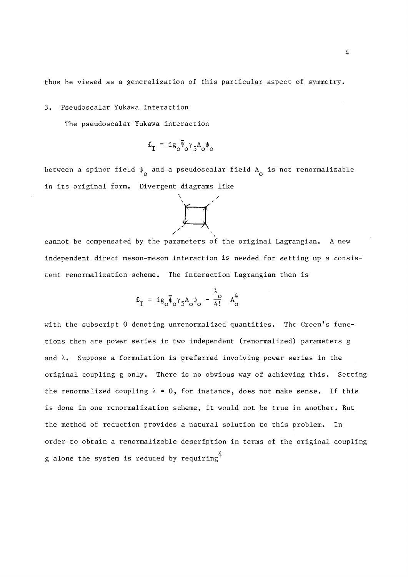thus be viewed as a generalization of this particular aspect of symmetry.

3. Pseudoscalar Yukawa Interaction

The pseudoscalar Yukawa interaction

$$
\mathbf{L}_{\mathbf{I}} = \mathbf{i} g_{o} \overline{\Psi}_{o} \gamma_{5} A_{o} \Psi_{o}
$$

between a spinor field  $\psi$  and a pseudoscalar field  $A$  is not renormalizable ο και το κατά το κατά το κατά το κατά το κατά το κατά το κατά το κατά το κατά το κατά το κατά το κατά το κατά<br>Ο κατά το κατά το κατά το κατά το κατά το κατά το κατά το κατά το κατά το κατά το κατά το κατά το κατά το κατά in its original form. Divergent diagrams like



cannot be compensated by the parameters of the original Lagrangian. **A** new independent direct meson-meson interaction is needed for setting up a consistent renormalization scheme. The interaction Lagrangian then is

$$
\mathbf{L}_{\mathbf{I}} = \mathbf{i}\mathbf{g}_{o}\overline{\Psi}_{o}\gamma_{5}\mathbf{A}_{o}\Psi_{o} - \frac{\lambda_{o}}{4!} \mathbf{A}_{o}^{4}
$$

with the subscript 0 denoting unrenormalized quantities. The Green's functions then are power series in two independent (renormalized) parameters g and  $\lambda$ . Suppose a formulation is preferred involving power series in the original coupling g only. There is no obvious way of achieving this. Setting the renormalized coupling  $\lambda = 0$ , for instance, does not make sense. If this is done in one renormalization scheme, it would not be true in another. But the method of réduction provides a natural solution to this problem. In order to obtain a renormalizable description in terms of the original coupling 4 g alone the System is reduced by requiring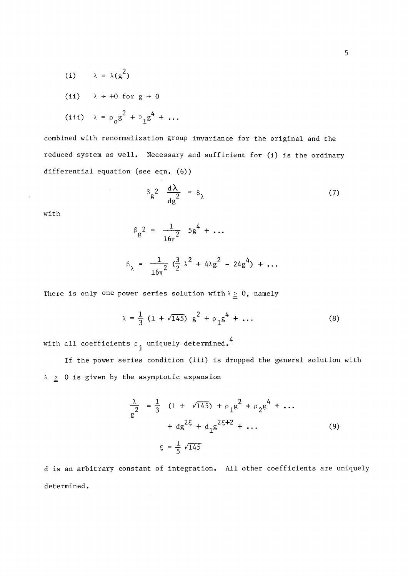(i)  $\lambda = \lambda(g^2)$ (ii)  $\lambda \rightarrow +0$  for  $g \rightarrow 0$ (iii)  $\lambda = \rho_{\alpha} g^2 + \rho_{\beta} g^4 + \ldots$ 

combined with renormalization group invariance for the original and the reduced system as well. Necessary and sufficient for (i) is the ordinary differential equation (see eqn. (6))

$$
\beta_g^2 \frac{d\lambda}{dg^2} = \beta_\lambda \tag{7}
$$

with

$$
\beta_{g}^{2} = \frac{1}{16\pi^{2}} 5g^{4} + \dots
$$
  

$$
\beta_{\lambda} = \frac{1}{16\pi^{2}} (\frac{3}{2} \lambda^{2} + 4\lambda g^{2} - 24g^{4}) + \dots
$$

There is only one power series solution with  $\lambda \geq 0$ , namely

 $=\frac{1}{2}(1+\sqrt{145}) g^2 + \rho_1 g^4 + \dots$  (8)

with all coefficients  $\rho_{i}$  uniquely determined.<sup>4</sup>

If the power series condition (iii) is dropped the general solution with  $\lambda \geq 0$  is given by the asymptotic expansion

$$
\frac{\lambda}{g^{2}} = \frac{1}{3} (1 + \sqrt{145}) + \rho_{1}g^{2} + \rho_{2}g^{4} + \dots
$$
  
+  $d g^{2\xi} + d_{1}g^{2\xi + 2} + \dots$  (9)  

$$
\xi = \frac{1}{5} \sqrt{145}
$$

d is an arbitrary constant of integration. All other coefficients are uniquely determined.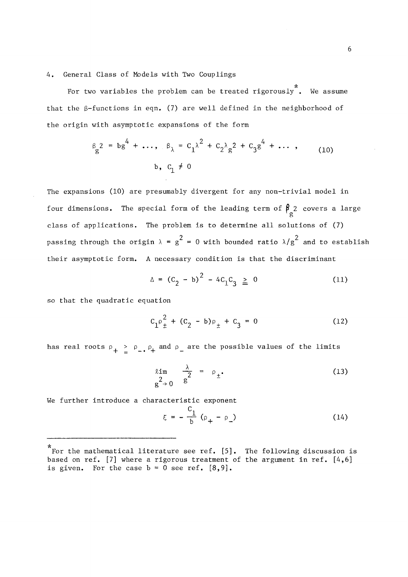4. General Class of Models with Two Couplings

For two variables the problem can be treated rigorously". We assume that the  $\beta$ -functions in eqn. (7) are well defined in the neighborhood of the origin with asymptotic expansions of the form

$$
\beta_{g}^{2} = b g^{4} + \dots, \quad \beta_{\lambda} = c_{1}^{\lambda^{2}} + c_{2}^{\lambda} g^{2} + c_{3}^{\lambda^{4}} + \dots \,, \tag{10}
$$
\n
$$
b, \quad c_{1} \neq 0
$$

The expansions (10) are presumably divergent for any non-trivial model in four dimensions. The special form of the leading term of  $\beta_c^2$  covers a large class of applications. The problem is to determine all solutions of (7) passing through the origin  $\lambda = g^2 = 0$  with bounded ratio  $\lambda/g^2$  and to establish their asymptotic form. A necessary condition is that the discriminant

$$
\Delta = (C_2 - b)^2 - 4C_1C_3 \ge 0 \tag{11}
$$

so that the quadratic equation

$$
C_1 \rho_{\pm}^2 + (C_2 - b) \rho_{\pm} + C_3 = 0 \tag{12}
$$

has real roots  $\rho_+ \ge \rho_-, \rho_+$  and  $\rho_-$  are the possible values of the limits

$$
\lim_{\substack{2\\g^2\to 0}}\frac{\lambda}{g^2} = \rho_{\pm}.
$$
 (13)

We further introduce a characteristic exponent

$$
\xi = -\frac{C_1}{b} (\rho_+ - \rho_-) \tag{14}
$$

<sup>\*</sup> For the mathematical literature see ref. [5]. The following discussion is based on ref. [7] where a rigorous treatment of the argument in ref.  $[4,6]$ is given. For the case  $b = 0$  see ref.  $[8, 9]$ .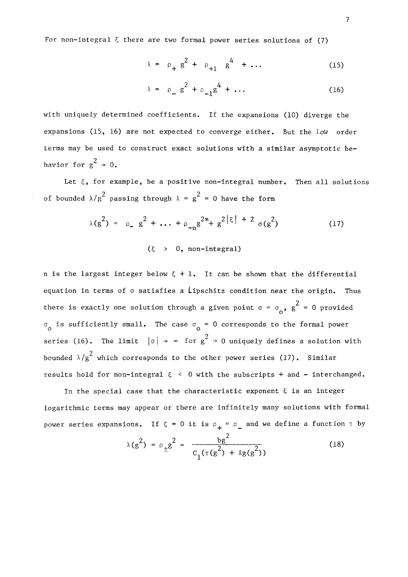For non-integral  $\xi$  there are two formal power series solutions of (7)

$$
\lambda = \rho_{+} g^{2} + \rho_{+1} g^{4} + \dots \tag{15}
$$

$$
\lambda = \rho_{\alpha} g^2 + \rho_{-1} g^4 + \dots \tag{16}
$$

with uniquely determined coefficients. If the expansions (10) diverge the expansions (15, 16) are not expected to converge either. But the low order terms may be used to construct exact solutions with a similar asymptotic be-2  $\frac{1}{6}$  0.

Let  $\xi$ , for example, be a positive non-integral number. Then all solutions of bounded  $\lambda/g^2$  passing through  $\lambda = g^2 = 0$  have the form

$$
\lambda(g^{2}) = \rho_{2} g^{2} + \dots + \rho_{-n} g^{2n} + g^{2|\xi| + 2} \sigma(g^{2})
$$
 (17)

n is the largest integer below  $\xi + 1$ . It can be shown that the differential equation in terms of  $\sigma$  satisfies a Lipschitz condition near the origin. Thus there is exactly one solution through a given noint  $\sigma = \sigma$  ,  $\sigma^2 = 0$  provided  $\sigma$  is sufficiently small. The case  $\sigma$  = 0 corresponds to the formal power  $\frac{1}{2}$  $\ddot{\phantom{1}}$ . series (17).  $\frac{2}{s^2}$  skick corresponds to the other never series (17). Cimilar results hold for non-integral  $\xi \leq 0$  with the subscripts + and - interchanged.

In the special case that the characteristic exponent  $\xi$  is an integer logarithmic terms may appear or there are infinitely many solutions with formal power series expansions. If  $\xi = 0$  it is  $\rho_+ = \rho_-$  and we define a function  $\tau$  by

$$
\lambda(g^2) = \rho_{\pm}g^2 - \frac{bg^2}{c_1(\tau(g^2) + \ell g(g^2))}
$$
 (18)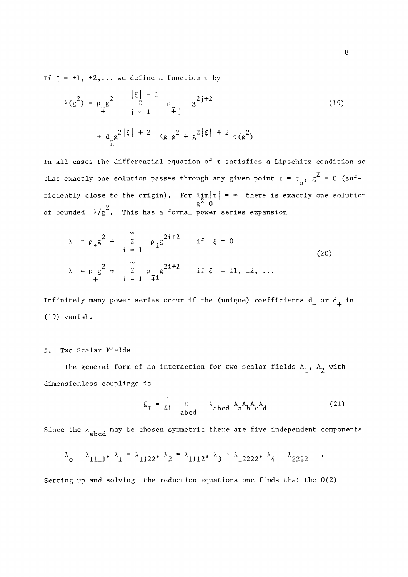If  $\xi = \pm 1$ ,  $\pm 2$ ,... we define a function  $\tau$  by

$$
\lambda(g^{2}) = \rho_{g}g^{2} + \sum_{j=1}^{|\xi| - 1} \rho_{\tilde{\tau}j} g^{2j+2}
$$
\n
$$
+ d_{g}g^{2|\xi| + 2} \log g^{2} + g^{2|\xi| + 2} \tau(g^{2})
$$
\n(19)

In all cases the differential equation of  $\tau$  satisfies a Lipschitz condition so  $2<sup>2</sup>$ that exactly one solution passes through any given point  $t = t^0$ ,  $g = 0$  (sufficiently close to the origin). For  $\lim_{n \to \infty} | \tau | = \infty$  there is exactly one solution of bounded  $\lambda/g^2$ . This has a formal power series expansion 6 i

$$
\lambda = \rho_{\pm} g^2 + \sum_{i=1}^{\infty} \rho_i g^{2i+2} \quad \text{if } \xi = 0
$$
\n
$$
\lambda = \rho_{\pm} g^2 + \sum_{i=1}^{\infty} \rho_{\pm} g^{2i+2} \quad \text{if } \xi = \pm 1, \pm 2, \dots
$$
\n(20)

Infinitely many power series occur if the (unique) coefficients  $d$  or  $d$ <sub>+</sub> in (19) vanish.

#### 5· Two Scalar Fields

The general form of an interaction for two scalar fields  $A_1$ ,  $A_2$  with dimensionless couplings is

$$
\mathcal{L}_{I} = \frac{1}{4!} \sum_{abcd} \lambda_{abcd} A_{a} A_{b} A_{c} A_{d}
$$
 (21)

 $\bullet$ 

Since the  $\lambda$  abcd may be chosen symmetric there are five independent components

$$
\lambda_0 = \lambda_{1111}, \lambda_1 = \lambda_{1122}, \lambda_2 = \lambda_{1112}, \lambda_3 = \lambda_{12222}, \lambda_4 = \lambda_{2222}
$$

Setting up and solving the reduction equations one finds that the  $0(2)$  -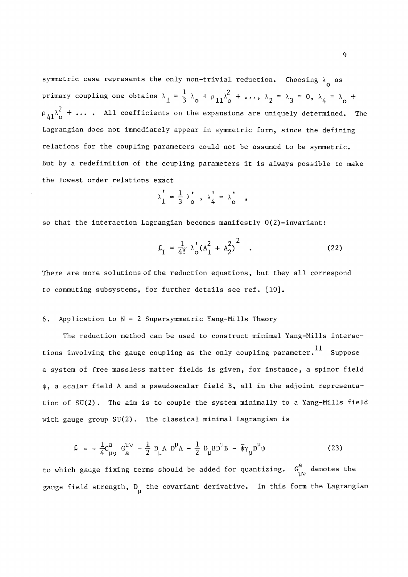symmetric case represents the only non-trivial reduction. Choosing  $\lambda_{\alpha}$  as ο  $\overline{3}$   $\lambda$ <sub>0</sub>  $+$   $\varphi$ <sub>11</sub> $\lambda$ <sub>0</sub>  $\overline{1}$  $p$  and one of  $p$  is the obtained one of  $p$  if  $p$  and  $p$  and  $p$  if  $p$  and  $p$  if  $p$  if  $p$  if  $p$  if  $p$  if  $p$  if  $p$  if  $p$  if  $p$  if  $p$  if  $p$  if  $p$  if  $p$  if  $p$  if  $p$  if  $p$  if  $p$  if  $p$  if  $p$  if  $p$  if s on the expansions are uniquely determined. 2 Lagrangian does not immediately appear in symmetric form, since the defining<br>relations for the coupling parameters could not be assumed to be symmetric. But by a redefinition of the coupling parameters it is always possible to make the lowest order relations exact

$$
\lambda_1' = \frac{1}{3} \lambda_0', \lambda_4' = \lambda_0',
$$

 $\overline{a}$ so that the interaction Lagrangian becomes manifestly 0(2)-invariant :

$$
E_{\text{I}} = \frac{1}{4!} \lambda_{\text{o}}' (A_{1}^{2} + A_{2}^{2})^{2} \quad . \tag{22}
$$

There are more solutions of the reduction equations, but they all correspond to commuting subsystems, for further details see ref. [10].

## 6. Application to  $N = 2$  Supersymmetric Yang-Mills Theory

The reduction method can be used to construct minimal Yang-Mills interactions involving the gauge coupling as the only coupling parameter.  $^{11}$  Suppose a system of free massless matter fields is given, for instance, a spinor field  $\psi$ , a scalar field A and a pseudoscalar field B, all in the adjoint representation of SU(2). The aim is to couple the system minimally to a Yang-Mills field with gauge group SU(2). The classical minimal Lagrangian is

$$
\mathcal{L} = -\frac{1}{4} G_{\mu\nu}^{a} G_{a}^{\mu\nu} - \frac{1}{2} D_{\mu} A D^{\mu} A - \frac{1}{2} D_{\mu} B D^{\mu} B - \bar{\psi} \gamma_{\mu} D^{\mu} \psi
$$
 (23)

to which gauge fixing terms should be added for quantizing.  $G_{_{115}}^a$  denotes the gauge field strength,  $D_{ij}$  the covariant derivative. In this form the Lagrangian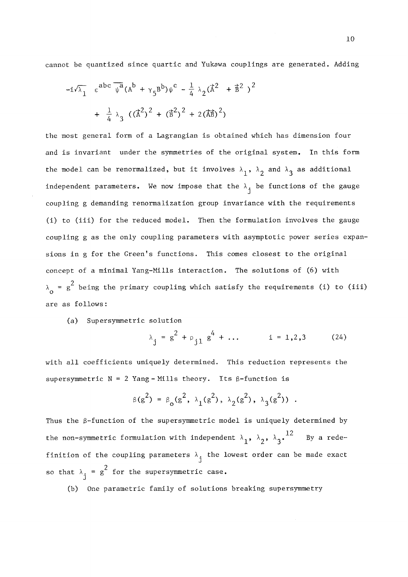cannot be quantized since quartic and Yukawa couplings are generated. Adding

$$
-i\sqrt{\lambda_1} \varepsilon^{abc} \overline{\psi^a} (A^b + \gamma_5 B^b) \psi^c - \frac{1}{4} \lambda_2 (\vec{A}^2 + \vec{B}^2)^2
$$
  
+  $\frac{1}{4} \lambda_3 ((\vec{A}^2)^2 + (\vec{B}^2)^2 + 2(\vec{A}\vec{B})^2)$ 

the most general form of a Lagrangian is obtained which has dimension four and is invariant under the symmetries of the original system. In this form the model can be renormalized, but it involves  $\lambda_1$ ,  $\lambda_2$  and  $\lambda_3$  as additional independent parameters. We now impose that the  $\lambda_i$  be functions of the gauge coupling g demanding renormalization group invariance with the requirements (i) to (iii) for the reduced model, Then the formulation involves the gauge coupling g as the only coupling parameters with asymptotic power series expansions in g for the Green's functions. This comes closest to the original concept of a minimal Yang-Mills interaction, The solutions of (6) with  $\lambda_0$  =  $g^2$  being the primary coupling which satisfy the requirements (i) to (iii)  $\mathcal{L}$  and the primary coupling which satisfy the requirements (iii) to (iii)) to (iii)) to (iii)) to (iii)) to (iii)) to (iii)) to (iii)) to (iii)) to (iii)) to (iii)) to (iii)) to (iii)) to (iii)) to (iii)) to (iii))

(a) Supersymmetric solution

$$
\lambda_{j} = g^{2} + \rho_{j1} g^{4} + \dots \qquad i = 1, 2, 3 \qquad (24)
$$

with all coefficients uniquely determined. This reduction represents the supersymmetric  $N = 2$  Yang-Mills theory. Its  $\beta$ -function is

$$
\beta(g^2) = \beta_0(g^2, \lambda_1(g^2), \lambda_2(g^2), \lambda_3(g^2))
$$
.

Thus the  $\beta$ -function of the supersymmetric model is uniquely determined by the non-symmetric formulation with independent  $\lambda_1$ ,  $\lambda_2$ ,  $\lambda_3$ .  $^{12}$  By a redethe non-symmetric formulation with independent  $\mathcal{L}^{\mathcal{L}}$  ,  $\mathcal{L}^{\mathcal{L}}$  and  $\mathcal{L}^{\mathcal{L}}$  a redé-federation  $\mathcal{L}^{\mathcal{L}}$ finition of the coupling parameters the lowest order can be made exactly parameters the lowest order can be made exactly parameters the lowest order can be made exactly parameters the lowest order can be made exactly para so that  $\lambda_i = g^2$  for the supersymmetric case.

(b) One parametric family of solutions breaking supersymmetry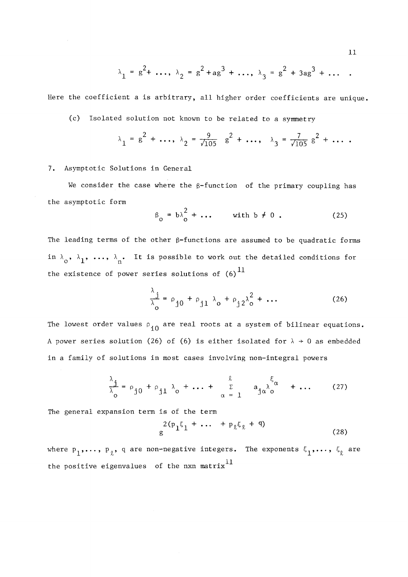$$
\lambda_1 = g^2 + \dots
$$
,  $\lambda_2 = g^2 + ag^3 + \dots$ ,  $\lambda_3 = g^2 + 3ag^3 + \dots$ 

Here the coefficient a is arbitrary, ail higher order coefficients are unique,

(c) Isolated solution not known to be related to a symmetry

$$
\lambda_1 = g^2 + \dots
$$
,  $\lambda_2 = \frac{9}{\sqrt{105}} g^2 + \dots$ ,  $\lambda_3 = \frac{7}{\sqrt{105}} g^2 + \dots$ 

# 7. Asymptotic Solutions in General

We consider the case where the  $\beta$ -function of the primary coupling has the asymptotic form

$$
\beta_0 = b\lambda_0^2 + \dots \qquad \text{with } b \neq 0 . \tag{25}
$$

The leading terms of the other  $\beta$ -functions are assumed to be quadratic forms in  $\lambda_0$ ,  $\lambda_1$ , ...,  $\lambda_n$ . It is possible to work out the detailed conditions for the existence of power series solutions of  $(6)^{11}$ 

$$
\frac{\lambda_{j}}{\lambda_{o}} = \rho_{j0} + \rho_{j1} \lambda_{o} + \rho_{j2} \lambda_{o}^{2} + \dots
$$
 (26)

The lowest order values  $\rho_{10}$  are real roots at a system of bilinear equations. A power series solution (26) of (6) is either isolated for  $\lambda \rightarrow 0$  as embedded in a family of solutions in most cases involving non-integral powers

$$
\frac{\lambda_j}{\lambda_o} = \rho_{j0} + \rho_{j1} \lambda_o + \dots + \frac{\ell}{\alpha - 1} \quad a_{j\alpha} \lambda_o^{\xi_{\alpha}} + \dots \quad (27)
$$

The general expansion term is of the term

$$
\frac{2(p_1\xi_1 + \dots + p_\ell\xi_\ell + q)}{g}
$$
 (28)

where  $p_1,\ldots, p_{\ell}$ , q are non-negative integers. The exponents  $\xi_1,\ldots, \xi_{\ell}$  are the positive eigenvalues of the nxn matrix $^{11}$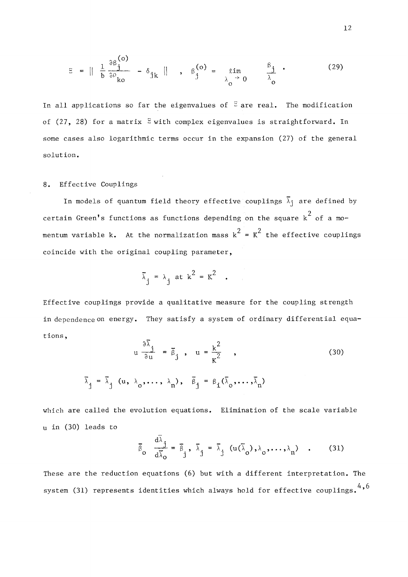$$
E = \|\frac{1}{b}\frac{\partial \beta_{j}^{(o)}}{\partial \rho_{ko}} - \delta_{jk}\|, \quad \beta_{j}^{(o)} = \lim_{\lambda_{o} \to 0} \frac{\beta_{j}}{\lambda_{o}}, \quad (29)
$$

In all applications so far the eigenvalues of  $\overline{z}$  are real. The modification of (27, 28) for a matrix  $\Xi$  with complex eigenvalues is straightforward. In some cases also logarithmic terms occur in the expansion (27) of the general solution.

# 8. Effective Couplings

In models of quantum field theory effective couplings  $\overline{\lambda}_j$  are defined by 2 certain Green's functions as functions depending on the square k of a momentum variable k. At the normalization mass  $k^2 = K^2$  the effective couplings coincide with the original coupling parameter,

$$
\bar{\lambda}_j = \lambda_j \text{ at } k^2 = K^2 \quad .
$$

Effective couplings provide a qualitative measure for the coupling strength in dependence on energy. They satisfy a system of ordinary differential equations ,

$$
u \frac{\partial \lambda_j}{\partial u} = \overline{\beta}_j, \quad u = \frac{k^2}{K^2},
$$
\n
$$
\overline{\lambda}_j = \overline{\lambda}_j (u, \lambda_0, \dots, \lambda_n), \quad \overline{\beta}_j = \beta_i (\overline{\lambda}_0, \dots, \overline{\lambda}_n)
$$
\n(30)

which are called the evolution equations. Elimination of the scale variable u in (30) leads to

$$
\overline{\beta}_{0} \quad \frac{d\overline{\lambda}_{j}}{d\overline{\lambda}_{0}} = \overline{\beta}_{j}, \quad \overline{\lambda}_{j} = \overline{\lambda}_{j} \quad (u(\overline{\lambda}_{0}), \lambda_{0}, \dots, \lambda_{n}) \quad . \tag{31}
$$

These are the reduction equations (6) but with a different interpretation. The  $4,6$ system (31) represents identities which always hold for effective couplings. '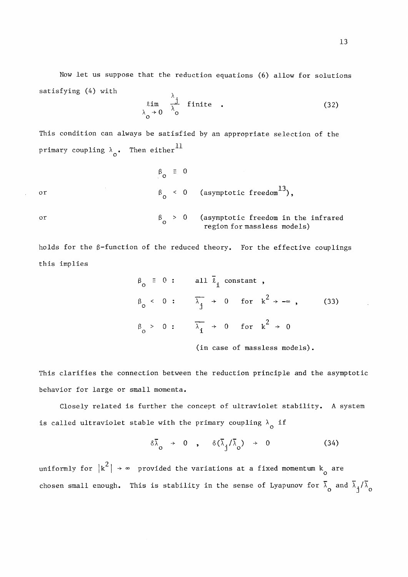Now let us suppose that the reduction equations (6) allow for solutions satisfying (4) with

$$
\lim_{\lambda_0 \to 0} \frac{\lambda_j}{\lambda_0} \text{ finite } . \tag{32}
$$

This condition can always be satisfied by an appropriate selection of the primary coupling  $\lambda$ <sub>0</sub>. Then either<sup>11</sup>

$$
\begin{array}{ccc}\n\beta_0 & \equiv & 0 \\
\beta_0 & < & 0 \\
\end{array}\n\quad \text{(asymptotic freedom}^{13}),
$$
\nor\n
$$
\begin{array}{ccc}\n\beta_0 > & 0 \\
\beta_0 > & 0\n\end{array}\n\quad \text{(asymptotic freedom in the infrared region for massless models)}
$$

holds for the  $\beta$ -function of the reduced theory. For the effective couplings this implies

$$
\beta_0 \equiv 0: \quad \text{all } \bar{\ell}_1 \text{ constant },
$$
\n
$$
\beta_0 < 0: \quad \overline{\lambda}_j \to 0 \quad \text{for } k^2 \to -\infty , \quad (33)
$$
\n
$$
\beta_0 > 0: \quad \overline{\lambda}_1 \to 0 \quad \text{for } k^2 \to 0
$$

(in case of massless models)·

This clarifies the connection between the reduction principle and the asymptotic behavior for large or small momenta.

Closely related is further the concept of ultraviolet stability. A system is called ultraviolet stable with the primary coupling  $\lambda$  if

$$
\delta\bar{\lambda}_0 \rightarrow 0 \quad , \quad \delta(\bar{\lambda}_j/\bar{\lambda}_0) \rightarrow 0 \tag{34}
$$

uniformly for  $|k^2| \rightarrow \infty$  provided the variations at a fixed momentum  $k_0$  are uniformly for  $|k|$  -states at a fixed momentum for  $k$  are variations at a fixed momentum  $\frac{a}{a}$ 

 $\frac{d}{dt}$  small enough This is stability in the sense of Lyapunov for and  $\frac{d}{dt}$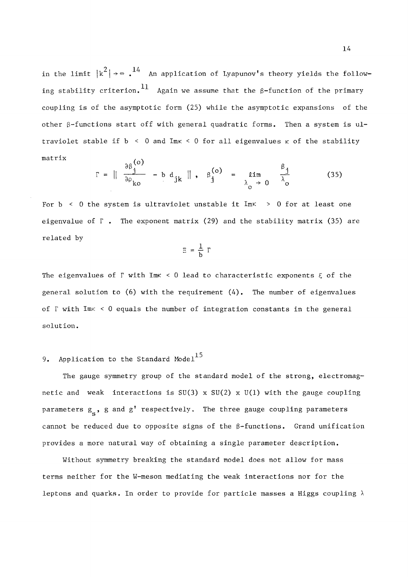in the limit  $|k^2| \rightarrow \infty$ .<sup>14</sup> An application of Lyapunov's theory yields the following stability criterion.  $^{11}$  Again we assume that the  $\beta$ -function of the primary coupling is of the asymptotic form (25) while the asymptotic expansions of the other  $\beta$ -functions start off with general quadratic forms. Then a system is ultraviolet stable if  $b \le 0$  and Imk  $\le 0$  for all eigenvalues  $\kappa$  of the stability  $\mathbf{r}$  and  $\mathbf{r}$  and  $\mathbf{r}$  are discussed of the stability of the stability of the stability of the stability of the stability of the stability of the stability of the stability of the stability of the stability of

$$
\Gamma = \|\begin{array}{cc} \frac{\partial \beta^{(0)}_{j}}{\partial \rho_{k0}} - b \ d_{jk} \end{array}\|, \quad \beta^{(0)}_{j} = \lim_{\lambda_{0} \to 0} \frac{\beta_{j}}{\lambda_{0}} \tag{35}
$$

m is ultraviolet unstable it Imr > 0 f ο eigenvalue of  $\Gamma$ . The exponent matrix (29) and the stability matrix (35) are exponent matrix (29) and the exponent matrix (35) and the stability matrix (35) and the stability matrix (35) are  $\frac{1}{2}$ 

$$
\Xi = \frac{1}{b} \Gamma
$$

The eigenvalues of  $\Gamma$  with ImK < 0 lead to characteristic exponents  $\xi$  of the general solution to  $(6)$  with the requirement  $(4)$ . The number of eigenvalues of  $\Gamma$  with Im $\kappa$  < 0 equals the number of integration constants in the general solution.

# 9. Application to the Standard Model<sup>15</sup>

The gauge symmetry group of the standard model of the strong, electromagnetic and weak interactions is  $SU(3) \times SU(2) \times U(1)$  with the gauge coupling parameters  $g_s$ , g and g' respectively. The three gauge coupling parameters cannot be reduced due to opposite signs of the  $\beta$ -functions. Grand unification provides a more natural way of obtaining a single parameter description.

Without symmetry breaking the standard model does not allow for mass terms neither for the W-meson mediating the weak interactions nor for the leptons and quarks. In order to provide for particle masses a Higgs coupling  $\lambda$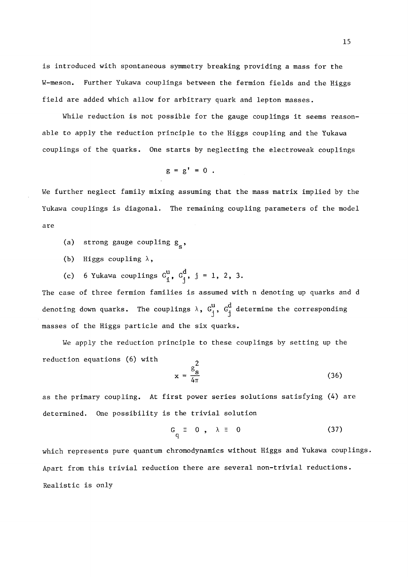is introduced with spontaneous symmetry breaking providing a mass for the W-meson. Further Yukawa couplings between the fermion fields and the Higgs field are added which allow for arbitrary quark and lepton masses.

While reduction is not possible for the gauge couplings it seems reasonable to apply the reduction principle to the Higgs coupling and the Yukawa couplings of the quarks. One starts by neglecting the electroweak couplings

$$
g = g' = 0.
$$

We further neglect family mixing assuming that the mass matrix implied by the Yukawa couplings is diagonal. The remaining coupling parameters of the model are

- (a) strong gauge coupling  $g_{c}$ ,
- (b) Higgs coupling  $\lambda$ ,
- (c) 6 Yukawa couplings  $G^u_i$ ,  $G^d_j$ , j = 1, 2, 3.

The case of three fermion families is assumed with n denoting up quarks and d denoting down quarks. The couplings  $\lambda$ ,  $G^u_j$ ,  $G^d_j$  determine the corresponding masses of the Higgs particle and the six quarks.

We apply the reduction principle to these couplings by setting up the reduction equations (6) with  $2\frac{1}{2}$ 

$$
x = \frac{g_s^2}{4\pi} \tag{36}
$$

as the primary coupling. At first power series solutions satisfying (4) are determined. One possibility is the trivial solution

$$
G_q \equiv 0 , \lambda \equiv 0
$$
 (37)

which represents pure quantum chromodynamics without Higgs and Yukawa couplings. Apart from this trivial reduction there are several non-trivial reductions. Realistic is only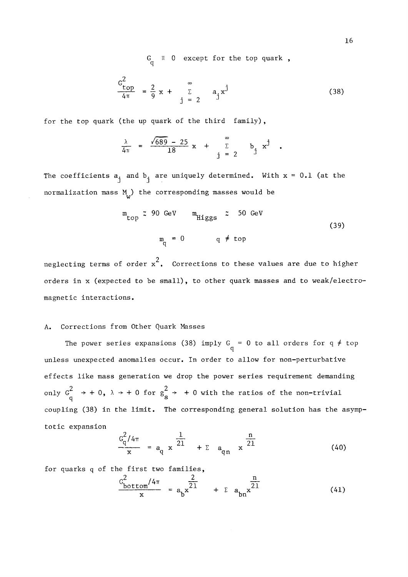$G_{\alpha} \equiv 0$  except for the top quark,

$$
\frac{c_{\text{top}}^2}{4\pi} = \frac{2}{9} x + \sum_{j=2}^{\infty} a_j x^j
$$
 (38)

for the top quark (the up quark of the third family) ,

$$
\frac{\lambda}{4\pi} = \frac{\sqrt{689} - 25}{18} x + \sum_{i=2}^{\infty} b_i x^{j}
$$

The coefficients  $a_j$  and  $b_j$  are uniquely determined. With  $x = 0.1$  (at the normalization mass  $M_{\alpha}$ ) the corresponding masses would be

4**ti** 18 . J

$$
m_{\text{top}} \approx 90 \text{ GeV} \qquad m_{\text{Higgs}} \approx 50 \text{ GeV}
$$
\n
$$
m_{\text{q}} = 0 \qquad \text{q} \neq \text{top}
$$
\n(39)

neglecting terms of order  $x^2$ . Corrections to these values are due to higher orders in x (expected to be small), to other quark masses and to weak/electroorders in (expected to be small), to other quark masses and to weak/electro-other quark masses and to weak/ele

### A. Corrections from Other Quark Masses

w

The power series expansions (38) imply G = 0 to all orders for q  $\neq$  top q unless unexpected anomalies occur. In order to allow for non-perturbative effects like mass generation we drop the power series requirement demanding only  $G^2$   $\rightarrow$  +0,  $\lambda$   $\rightarrow$  +0 for  $g^2$   $\rightarrow$  +0 with the ratios of the non-trivial q totic expansion

$$
\frac{c_q^2/4\pi}{x} = a_q x^{\frac{1}{21}} + \sum a_{qn} x^{\frac{n}{21}}
$$
 (40)

o ramilies,  $\frac{1}{2}$ 

$$
\frac{c_{\text{bottom}}^2 / 4\pi}{x} = a_{\text{b}} x^{\frac{2}{21}} + \sum a_{\text{bn}} x^{\frac{n}{21}}
$$
(41)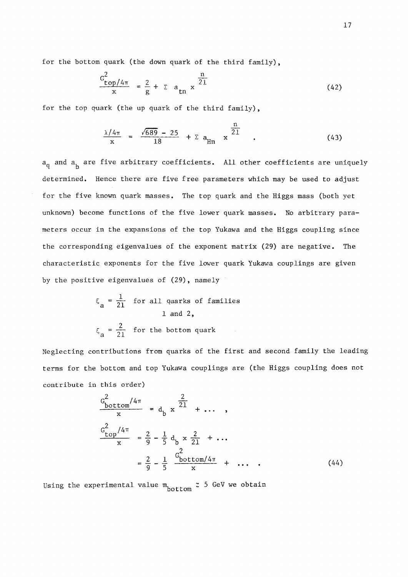for the bottom quark (the down quark of the third family),

$$
\frac{G_{\text{top}}^2 / 4\pi}{x} = \frac{2}{g} + \sum a_{\text{tn}} x^{\frac{n}{21}}
$$
 (42)

for the top quark (the up quark of the third family) ,

$$
\frac{\lambda/4\pi}{x} = \frac{\sqrt{689} - 25}{18} + \sum a_{\text{Hn}} x^{\frac{n}{21}} \tag{43}
$$

 $a_{\rm n}$  and  $a_{\rm h}$  are five arbitrary coefficients. All other coefficients are uniquely determined. Hence there are five free parameters which may be used to adjust for the five known quark masses. The top quark and the Higgs mass (both yet for the five known quark masses. The top quark and the Higgs mass (both yet unknown) become functions of the five lower quark masses. No arbitrary parameters occur in the expansions of the top Yukawa and the Higgs coupling since the corresponding eigenvalues of the exponent matrix (29) are négative. The characteristic exponents for the five lower quark Yukawa couplings are given

$$
\xi_a = \frac{1}{21}
$$
 for all quarks of families  
1 and 2,  
 $\xi_a = \frac{2}{21}$  for the bottom quark

 $\mathbf{b}$  the positive eigenvalues of (29), namely  $\mathbf{c}$ 

Neglecting contributions from quarks of the first and second family the leading terms for the bottom and top Yukawa couplings are (the Higgs coupling does not contribute in this order)

$$
\frac{G_{\text{bottom}}^{2}/4\pi}{x} = d_{\text{b}} x \frac{\frac{2}{21}}{1} + \dots ,
$$
  

$$
\frac{G_{\text{top}}^{2}/4\pi}{x} = \frac{2}{9} - \frac{1}{5} d_{\text{b}} x \frac{2}{21} + \dots
$$
  

$$
= \frac{2}{9} - \frac{1}{5} \frac{G_{\text{bottom}}^{2}}{x} + \dots .
$$
 (44)

Using the experimental value  $m_{\text{bottom}} \approx 5$  GeV we obtain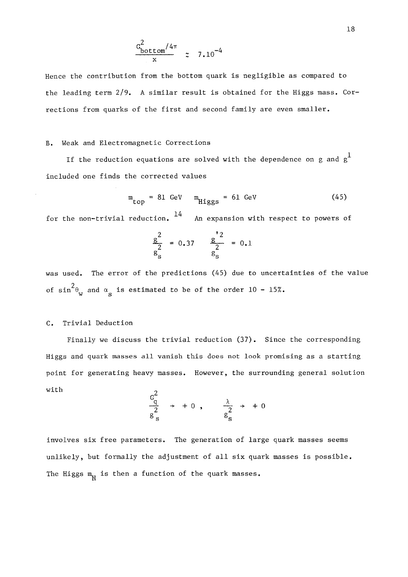$$
\frac{G_{\text{bottom}}^2/4\pi}{x} \approx 7.10^{-4}
$$

Hence the contribution from the bottom quark is negligible as compared to the leading term 2/9. A similar resuit is obtained for the Higgs mass. Corrections from quarks of the first and second family are even smaller.

## B. Weak and Electromagnetic Corrections

If the reduction equations are solved with the dependence on g and  $g<sup>1</sup>$ included one finds the corrected values

$$
m_{\text{top}} = 81 \text{ GeV} \qquad m_{\text{Higgs}} = 61 \text{ GeV} \tag{45}
$$

14 for the non-trivial réduction. An expansion with respect to powers of

$$
\frac{g^2}{g^2} = 0.37 \qquad \frac{g^2}{g^2} = 0.1
$$

was used. The error of the predictions (45) due to uncertainties of the value  $2<sub>n</sub>$ of  $\sin^5\theta_{\rm w}$  and  $\alpha_{\rm s}$  is estimated to be of the order  $10$  -  $15\%$ .

## C. Trivial Déduction

Finally we discuss the trivial reduction  $(37)$ . Since the corresponding Higgs and quark masses ail vanish this does not look promising as a starting point for generating heavy masses. However, the surrounding general solution With **y** 

$$
\frac{G^2}{g^2} \rightarrow +0 , \frac{\lambda}{g^2} \rightarrow +0
$$

involves six free parameters. The generation of large quark masses seems unlikely, but formally the adjustment of all six quark masses is possible. The Higgs  $m_{\overline{H}}$  is then a function of the quark masses.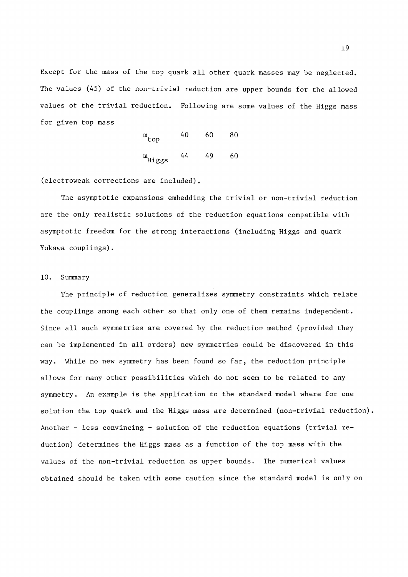Except for the mass of the top quark ail other quark masses may be neglected. The values (45) of the non-trivial reduction are upper bounds for the allowed values of the trivial reduction. Following are some values of the Higgs mass for given top mass

$$
m_{\text{top}} = 40 \qquad 60 \qquad 80
$$
\n
$$
m_{\text{Higgs}} = 44 \qquad 49 \qquad 60
$$

(electroweak corrections are included).

The asymptotic expansions embedding the trivial or non-trivial réduction are the only realistic solutions of the reduction equations compatible with asymptotic freedom for the strong interactions (including Higgs and quark Yukawa couplings).

#### 10. Summary

The principle of reduction generalizes symmetry constraints which relate the couplings among each other so that only one of them remains independent. Since all such symmetries are covered by the reduction method (provided they can be implemented in ail orders) new symmetries could be discovered in this way. While no new symmetry has been found so far, the reduction principle allows for many other possibilities which do not seem to be related to any symmetry. An example is the application to the standard model where for one solution the top quark and the Higgs mass are determined (non-trivial reduction). Another - less convincing - solution of the reduction equations (trivial reduction) détermines the Higgs mass as a function of the top mass with the values of the non-trivial réduction as upper bounds. The numerical values obtained should be taken with some caution since the standard model is only on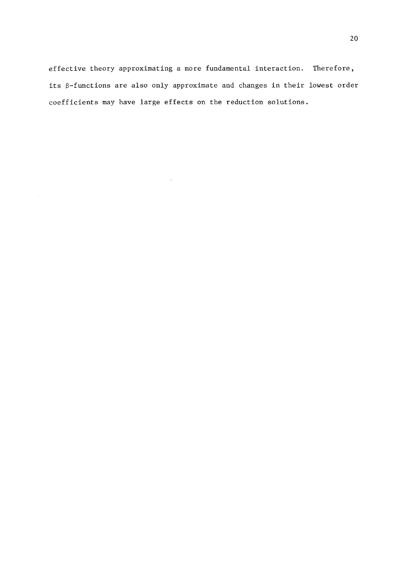effective theory approximating a more fundamental interaction. Therefore, its  $\beta$ -functions are also only approximate and changes in their lowest order coefficients may have large effects on the reduction solutions.

 $\sim$ 

 $\bar{\gamma}$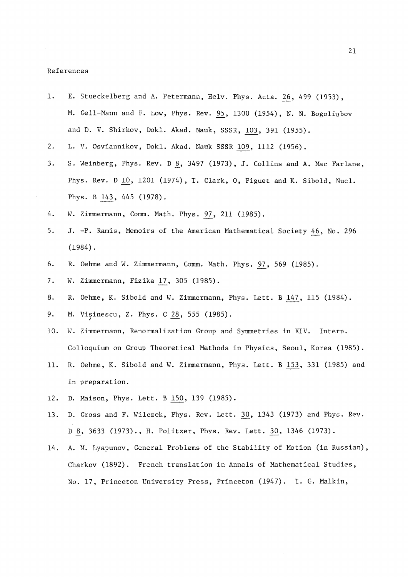#### References

- 1. E. Stueckelberg and A. Petermann, Helv. Phys. Acta. 26, 499 (1953), M. Gell-Mann and F. Low, Phys. Rev. 95, 1300 (1954), N. N. Bogoliubov and D. V. Shirkov, Dokl. Akad. Nauk, SSSR, 103, 391 (1955).
- 2. L. V. Osviannikov, Dokl. Akad. Nauk SSSR 109, 1112 (1956).
- 3. S. Weinberg, Phys. Rev. D 8, 3497 (1973), J. Collins and A. Mac Farlane, Phys. Rev. D 10, 1201 (1974), T. Clark, O, Piguet and K. Sibold, Nucl. Phys. B 143, 445 (1978).
- 4. W. Zimmermann, Comm. Math. Phys. 97, 211 (1985).
- 5. J.-P. Ramis, Memoirs of the American Mathematical Society 46, No. 296 (1984).
- 6. R. Oehme and W. Zimmermann, Comm. Math. Phys. 97, 569 (1985).
- 7. W. Zimmermann, Fizika 17, 305 (1985).
- 8. R. Oehme, K. Sibold and W. Zimmermann, Phys. Lett. B 147, 115 (1984).
- 9. M. Visinescu, Z. Phys. C 28, 555 (1985).
- 10. W. Zimmermann, Renormalization Group and Symmetries in XIV. Intern. Colloquium on Group Theoretical Methods in Physics, Seoul, Korea (1985).
- 11. R. Oehme, K. Sibold and W. Zimmermann, Phys. Lett. B 153, 331 (1985) and in preparation.
- 12. D. Maison, Phys. Lett. B 150, 139 (1985).
- 13. D. Gross and F. Wilczek, Phys. Rev. Lett. 30, 1343 (1973) and Phys. Rev. D 8, 3633 (1973)., H. Politzer, Phys. Rev. Lett. 30, 1346 (1973).
- 14. A. M. Lyapunov, General Problems of the Stability of Motion (in Russian), Charkov (1892). French translation in Annals of Mathematical Studies, No. 17, Princeton University Press, Princeton (1947). I. G. Malkin,